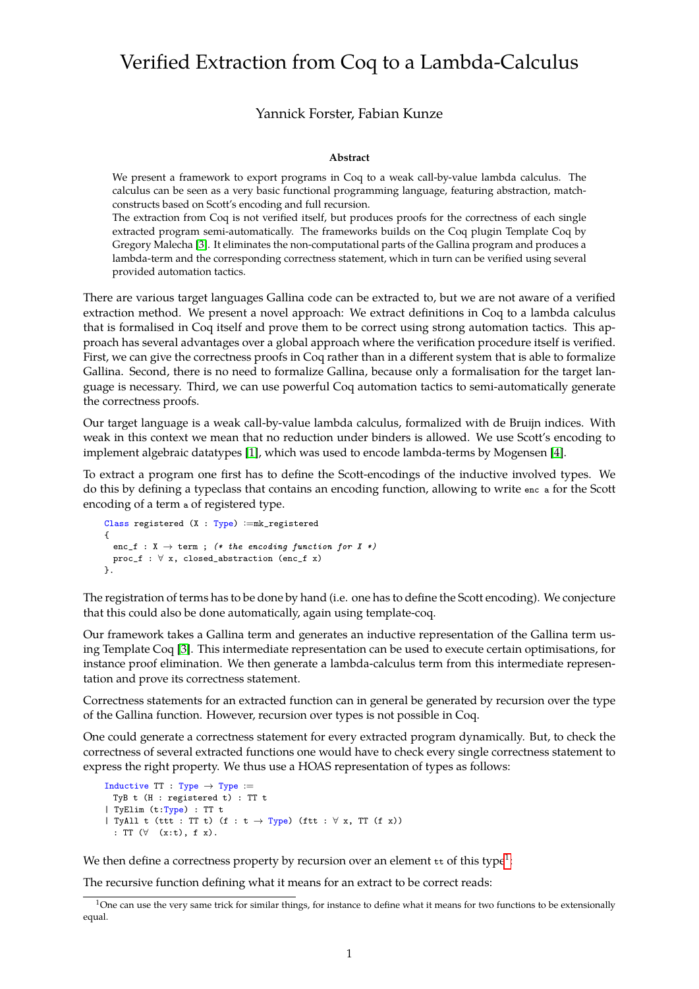## Verified Extraction from Coq to a Lambda-Calculus

## Yannick Forster, Fabian Kunze

## **Abstract**

We present a framework to export programs in Coq to a weak call-by-value lambda calculus. The calculus can be seen as a very basic functional programming language, featuring abstraction, matchconstructs based on Scott's encoding and full recursion.

The extraction from Coq is not verified itself, but produces proofs for the correctness of each single extracted program semi-automatically. The frameworks builds on the Coq plugin Template Coq by Gregory Malecha [\[3\]](#page-1-0). It eliminates the non-computational parts of the Gallina program and produces a lambda-term and the corresponding correctness statement, which in turn can be verified using several provided automation tactics.

There are various target languages Gallina code can be extracted to, but we are not aware of a verified extraction method. We present a novel approach: We extract definitions in Coq to a lambda calculus that is formalised in Coq itself and prove them to be correct using strong automation tactics. This approach has several advantages over a global approach where the verification procedure itself is verified. First, we can give the correctness proofs in Coq rather than in a different system that is able to formalize Gallina. Second, there is no need to formalize Gallina, because only a formalisation for the target language is necessary. Third, we can use powerful Coq automation tactics to semi-automatically generate the correctness proofs.

Our target language is a weak call-by-value lambda calculus, formalized with de Bruijn indices. With weak in this context we mean that no reduction under binders is allowed. We use Scott's encoding to implement algebraic datatypes [\[1\]](#page-1-1), which was used to encode lambda-terms by Mogensen [\[4\]](#page-1-2).

To extract a program one first has to define the Scott-encodings of the inductive involved types. We do this by defining a typeclass that contains an encoding function, allowing to write enc a for the Scott encoding of a term a of registered type.

```
Class registered (X : Type) :=mk_registered
{
  enc_f : X \rightarrow term ; (* the encoding function for X *)
 proc_f : \forall x, closed_abstraction (enc_f x)
}.
```
The registration of terms has to be done by hand (i.e. one has to define the Scott encoding). We conjecture that this could also be done automatically, again using template-coq.

Our framework takes a Gallina term and generates an inductive representation of the Gallina term using Template Coq [\[3\]](#page-1-0). This intermediate representation can be used to execute certain optimisations, for instance proof elimination. We then generate a lambda-calculus term from this intermediate representation and prove its correctness statement.

Correctness statements for an extracted function can in general be generated by recursion over the type of the Gallina function. However, recursion over types is not possible in Coq.

One could generate a correctness statement for every extracted program dynamically. But, to check the correctness of several extracted functions one would have to check every single correctness statement to express the right property. We thus use a HOAS representation of types as follows:

```
Inductive TT : Type \rightarrow Type :=TyB t (H : registered t) : TT t
| TyElim (t:Type) : TT t
| TyAll t (ttt : TT t) (f : t \rightarrow Type) (ftt : \forall x, TT (f x))
  : TT (\forall (x:t), f x).
```
We then define a correctness property by recursion over an element  $\bm{{\mathfrak{u}}}$  of this type $^1$  $^1$ :

The recursive function defining what it means for an extract to be correct reads:

<span id="page-0-0"></span> $1$ One can use the very same trick for similar things, for instance to define what it means for two functions to be extensionally equal.